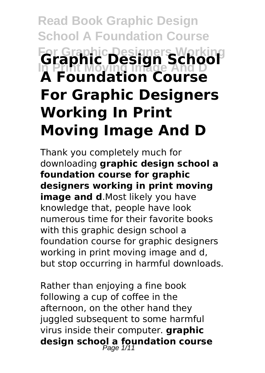# **Read Book Graphic Design School A Foundation Course For Graphic Designers Working In Print Moving Image And D Graphic Design School A Foundation Course For Graphic Designers Working In Print Moving Image And D**

Thank you completely much for downloading **graphic design school a foundation course for graphic designers working in print moving image and d.**Most likely you have knowledge that, people have look numerous time for their favorite books with this graphic design school a foundation course for graphic designers working in print moving image and d, but stop occurring in harmful downloads.

Rather than enjoying a fine book following a cup of coffee in the afternoon, on the other hand they juggled subsequent to some harmful virus inside their computer. **graphic design school a foundation course** Page 1/11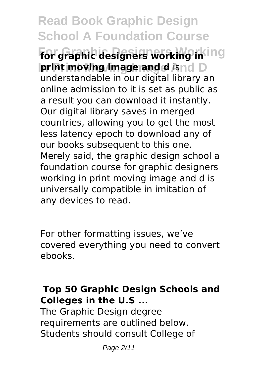**Read Book Graphic Design School A Foundation Course For Graphic Designers Working for graphic designers working in Iprint moving image and d** isnd D understandable in our digital library an online admission to it is set as public as a result you can download it instantly. Our digital library saves in merged countries, allowing you to get the most less latency epoch to download any of our books subsequent to this one. Merely said, the graphic design school a foundation course for graphic designers working in print moving image and d is universally compatible in imitation of any devices to read.

For other formatting issues, we've covered everything you need to convert ebooks.

### **Top 50 Graphic Design Schools and Colleges in the U.S ...**

The Graphic Design degree requirements are outlined below. Students should consult College of

Page 2/11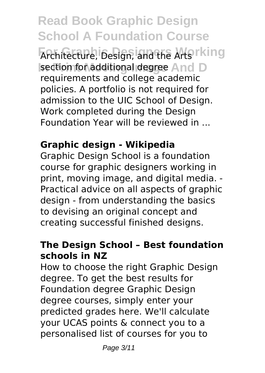**Read Book Graphic Design School A Foundation Course** Architecture, Design, and the Arts rking **Isection for additional degree And D** requirements and college academic policies. A portfolio is not required for admission to the UIC School of Design. Work completed during the Design Foundation Year will be reviewed in ...

# **Graphic design - Wikipedia**

Graphic Design School is a foundation course for graphic designers working in print, moving image, and digital media. - Practical advice on all aspects of graphic design - from understanding the basics to devising an original concept and creating successful finished designs.

# **The Design School – Best foundation schools in NZ**

How to choose the right Graphic Design degree. To get the best results for Foundation degree Graphic Design degree courses, simply enter your predicted grades here. We'll calculate your UCAS points & connect you to a personalised list of courses for you to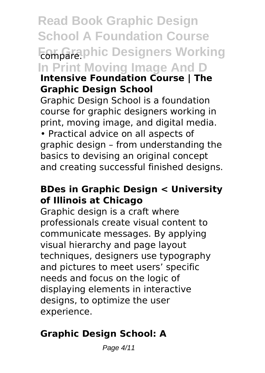**Read Book Graphic Design School A Foundation Course Fomparaphic Designers Working In Print Moving Image And D Intensive Foundation Course | The Graphic Design School** Graphic Design School is a foundation course for graphic designers working in print, moving image, and digital media. • Practical advice on all aspects of

graphic design – from understanding the basics to devising an original concept and creating successful finished designs.

## **BDes in Graphic Design < University of Illinois at Chicago**

Graphic design is a craft where professionals create visual content to communicate messages. By applying visual hierarchy and page layout techniques, designers use typography and pictures to meet users' specific needs and focus on the logic of displaying elements in interactive designs, to optimize the user experience.

# **Graphic Design School: A**

Page 4/11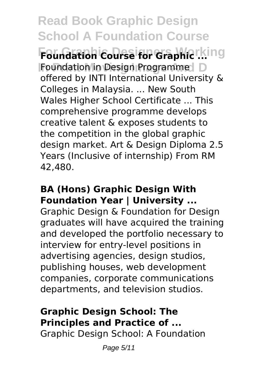**Read Book Graphic Design School A Foundation Course** Foundation Course for Graphic ... ing **Foundation in Design Programme | D** offered by INTI International University & Colleges in Malaysia. ... New South Wales Higher School Certificate ... This comprehensive programme develops creative talent & exposes students to the competition in the global graphic design market. Art & Design Diploma 2.5 Years (Inclusive of internship) From RM 42,480.

## **BA (Hons) Graphic Design With Foundation Year | University ...**

Graphic Design & Foundation for Design graduates will have acquired the training and developed the portfolio necessary to interview for entry-level positions in advertising agencies, design studios, publishing houses, web development companies, corporate communications departments, and television studios.

# **Graphic Design School: The Principles and Practice of ...**

Graphic Design School: A Foundation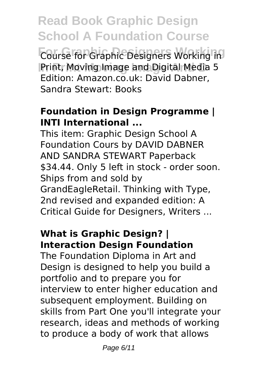**Read Book Graphic Design School A Foundation Course For Graphic Designers Working** Course for Graphic Designers Working in Print, Moving Image and Digital Media 5 Edition: Amazon.co.uk: David Dabner, Sandra Stewart: Books

#### **Foundation in Design Programme | INTI International ...**

This item: Graphic Design School A Foundation Cours by DAVID DABNER AND SANDRA STEWART Paperback \$34.44. Only 5 left in stock - order soon. Ships from and sold by GrandEagleRetail. Thinking with Type, 2nd revised and expanded edition: A Critical Guide for Designers, Writers ...

#### **What is Graphic Design? | Interaction Design Foundation**

The Foundation Diploma in Art and Design is designed to help you build a portfolio and to prepare you for interview to enter higher education and subsequent employment. Building on skills from Part One you'll integrate your research, ideas and methods of working to produce a body of work that allows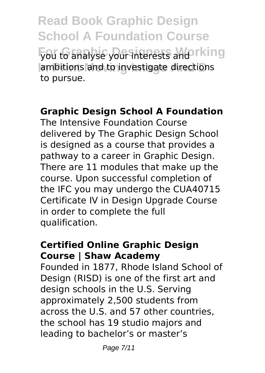**Read Book Graphic Design School A Foundation Course you to analyse your interests and rking** ambitions and to investigate directions to pursue.

#### **Graphic Design School A Foundation**

The Intensive Foundation Course delivered by The Graphic Design School is designed as a course that provides a pathway to a career in Graphic Design. There are 11 modules that make up the course. Upon successful completion of the IFC you may undergo the CUA40715 Certificate IV in Design Upgrade Course in order to complete the full qualification.

## **Certified Online Graphic Design Course | Shaw Academy**

Founded in 1877, Rhode Island School of Design (RISD) is one of the first art and design schools in the U.S. Serving approximately 2,500 students from across the U.S. and 57 other countries, the school has 19 studio majors and leading to bachelor's or master's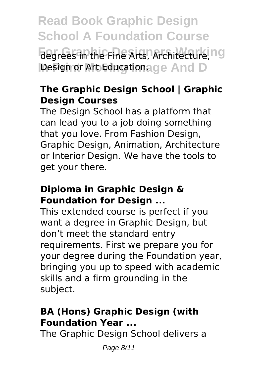**Read Book Graphic Design School A Foundation Course** degrees in the Fine Arts, Architecture, ng Design or Art Educationage And D

## **The Graphic Design School | Graphic Design Courses**

The Design School has a platform that can lead you to a job doing something that you love. From Fashion Design, Graphic Design, Animation, Architecture or Interior Design. We have the tools to get your there.

### **Diploma in Graphic Design & Foundation for Design ...**

This extended course is perfect if you want a degree in Graphic Design, but don't meet the standard entry requirements. First we prepare you for your degree during the Foundation year, bringing you up to speed with academic skills and a firm grounding in the subject.

# **BA (Hons) Graphic Design (with Foundation Year ...**

The Graphic Design School delivers a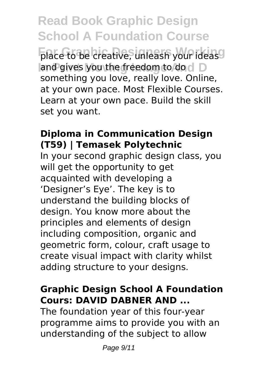**Read Book Graphic Design School A Foundation Course** place to be creative, unleash your ideas<sup>O</sup> and gives you the freedom to do d D something you love, really love. Online, at your own pace. Most Flexible Courses. Learn at your own pace. Build the skill set you want.

## **Diploma in Communication Design (T59) | Temasek Polytechnic**

In your second graphic design class, you will get the opportunity to get acquainted with developing a 'Designer's Eye'. The key is to understand the building blocks of design. You know more about the principles and elements of design including composition, organic and geometric form, colour, craft usage to create visual impact with clarity whilst adding structure to your designs.

# **Graphic Design School A Foundation Cours: DAVID DABNER AND ...**

The foundation year of this four-year programme aims to provide you with an understanding of the subject to allow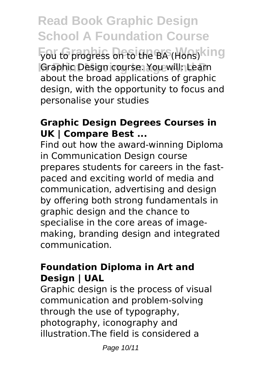**Read Book Graphic Design School A Foundation Course** you to progress on to the BA (Hons) king Graphic Design course. You will: Learn about the broad applications of graphic design, with the opportunity to focus and personalise your studies

## **Graphic Design Degrees Courses in UK | Compare Best ...**

Find out how the award-winning Diploma in Communication Design course prepares students for careers in the fastpaced and exciting world of media and communication, advertising and design by offering both strong fundamentals in graphic design and the chance to specialise in the core areas of imagemaking, branding design and integrated communication.

#### **Foundation Diploma in Art and Design | UAL**

Graphic design is the process of visual communication and problem-solving through the use of typography, photography, iconography and illustration.The field is considered a